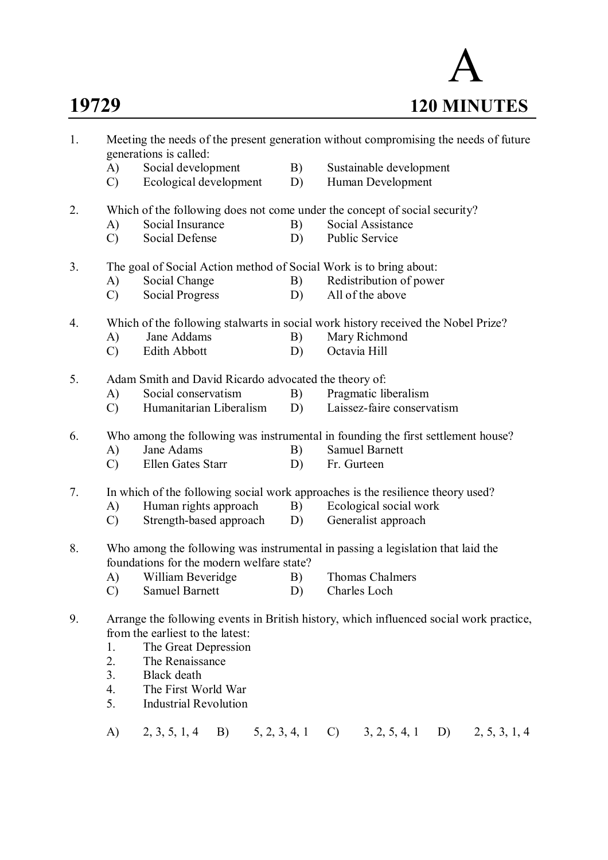

| 1. |               | Meeting the needs of the present generation without compromising the needs of future<br>generations is called:               |    |                 |                            |    |               |
|----|---------------|------------------------------------------------------------------------------------------------------------------------------|----|-----------------|----------------------------|----|---------------|
|    | A)            | Social development                                                                                                           | B) |                 | Sustainable development    |    |               |
|    | $\mathcal{C}$ | Ecological development                                                                                                       | D) |                 | Human Development          |    |               |
| 2. |               | Which of the following does not come under the concept of social security?                                                   |    |                 |                            |    |               |
|    | A)            | Social Insurance                                                                                                             | B) |                 | Social Assistance          |    |               |
|    | $\mathcal{C}$ | <b>Social Defense</b>                                                                                                        | D) | Public Service  |                            |    |               |
| 3. |               | The goal of Social Action method of Social Work is to bring about:                                                           |    |                 |                            |    |               |
|    | A)            | Social Change                                                                                                                | B) |                 | Redistribution of power    |    |               |
|    | $\mathcal{C}$ | <b>Social Progress</b>                                                                                                       | D) |                 | All of the above           |    |               |
| 4. |               | Which of the following stalwarts in social work history received the Nobel Prize?                                            |    |                 |                            |    |               |
|    | A)            | Jane Addams                                                                                                                  | B) |                 | Mary Richmond              |    |               |
|    | $\mathcal{C}$ | Edith Abbott                                                                                                                 | D) | Octavia Hill    |                            |    |               |
| 5. |               | Adam Smith and David Ricardo advocated the theory of:                                                                        |    |                 |                            |    |               |
|    | A)            | Social conservatism                                                                                                          | B) |                 | Pragmatic liberalism       |    |               |
|    | $\mathcal{C}$ | Humanitarian Liberalism                                                                                                      | D) |                 | Laissez-faire conservatism |    |               |
| 6. |               | Who among the following was instrumental in founding the first settlement house?                                             |    |                 |                            |    |               |
|    | A)            | Jane Adams                                                                                                                   | B) |                 | <b>Samuel Barnett</b>      |    |               |
|    | $\mathcal{C}$ | Ellen Gates Starr                                                                                                            | D) | Fr. Gurteen     |                            |    |               |
| 7. |               | In which of the following social work approaches is the resilience theory used?                                              |    |                 |                            |    |               |
|    | A)            | Human rights approach<br>Ecological social work<br>B)                                                                        |    |                 |                            |    |               |
|    | $\mathcal{C}$ | Strength-based approach                                                                                                      | D) |                 | Generalist approach        |    |               |
| 8. |               | Who among the following was instrumental in passing a legislation that laid the<br>foundations for the modern welfare state? |    |                 |                            |    |               |
|    | A)            | William Beveridge                                                                                                            | B) |                 | <b>Thomas Chalmers</b>     |    |               |
|    | $\mathcal{C}$ | <b>Samuel Barnett</b>                                                                                                        | D) | Charles Loch    |                            |    |               |
| 9. |               | Arrange the following events in British history, which influenced social work practice,                                      |    |                 |                            |    |               |
|    |               | from the earliest to the latest:                                                                                             |    |                 |                            |    |               |
|    | 1.            | The Great Depression                                                                                                         |    |                 |                            |    |               |
|    | 2.            | The Renaissance                                                                                                              |    |                 |                            |    |               |
|    | 3.            | Black death                                                                                                                  |    |                 |                            |    |               |
|    | 4.            | The First World War                                                                                                          |    |                 |                            |    |               |
|    | 5.            | <b>Industrial Revolution</b>                                                                                                 |    |                 |                            |    |               |
|    | A)            | 2, 3, 5, 1, 4<br>B)<br>5, 2, 3, 4, 1                                                                                         |    | $\mathcal{C}$ ) | 3, 2, 5, 4, 1              | D) | 2, 5, 3, 1, 4 |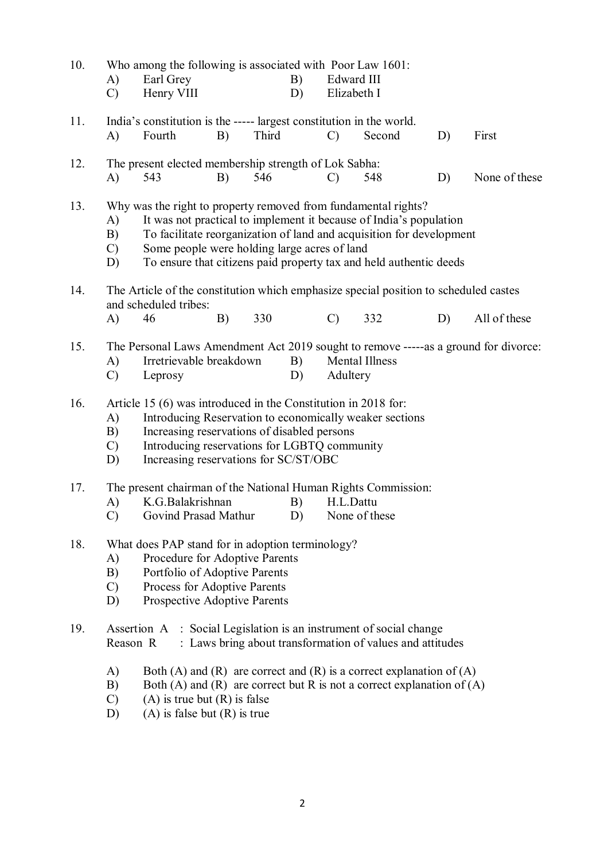| 10. | A)<br>$\mathcal{C}$                                                                                                                                                                                                                                                                                                                                                   | Who among the following is associated with Poor Law 1601:<br>Earl Grey<br>Henry VIII                                                                                                                                     |    |       | B)<br>D) | Edward III<br>Elizabeth I |                                                                                                                     |    |               |
|-----|-----------------------------------------------------------------------------------------------------------------------------------------------------------------------------------------------------------------------------------------------------------------------------------------------------------------------------------------------------------------------|--------------------------------------------------------------------------------------------------------------------------------------------------------------------------------------------------------------------------|----|-------|----------|---------------------------|---------------------------------------------------------------------------------------------------------------------|----|---------------|
| 11. | A)                                                                                                                                                                                                                                                                                                                                                                    | India's constitution is the ----- largest constitution in the world.<br>Fourth                                                                                                                                           | B) | Third |          | $\mathcal{C}$             | Second                                                                                                              | D) | First         |
| 12. | A)                                                                                                                                                                                                                                                                                                                                                                    | The present elected membership strength of Lok Sabha:<br>543                                                                                                                                                             | B) | 546   |          | $\mathcal{C}$             | 548                                                                                                                 | D) | None of these |
| 13. | Why was the right to property removed from fundamental rights?<br>It was not practical to implement it because of India's population<br>A)<br>To facilitate reorganization of land and acquisition for development<br>B)<br>Some people were holding large acres of land<br>$\mathcal{C}$<br>To ensure that citizens paid property tax and held authentic deeds<br>D) |                                                                                                                                                                                                                          |    |       |          |                           |                                                                                                                     |    |               |
| 14. | A)                                                                                                                                                                                                                                                                                                                                                                    | The Article of the constitution which emphasize special position to scheduled castes<br>and scheduled tribes:<br>46                                                                                                      | B) | 330   |          | $\mathcal{C}$             | 332                                                                                                                 | D) | All of these  |
| 15. | The Personal Laws Amendment Act 2019 sought to remove -----as a ground for divorce:<br>Irretrievable breakdown<br>B)<br><b>Mental Illness</b><br>A)<br>Adultery<br>Leprosy<br>D)<br>$\mathcal{C}$                                                                                                                                                                     |                                                                                                                                                                                                                          |    |       |          |                           |                                                                                                                     |    |               |
| 16. | Article 15 (6) was introduced in the Constitution in 2018 for:<br>Introducing Reservation to economically weaker sections<br>A)<br>Increasing reservations of disabled persons<br>B)<br>Introducing reservations for LGBTQ community<br>$\mathcal{C}$<br>Increasing reservations for SC/ST/OBC<br>D)                                                                  |                                                                                                                                                                                                                          |    |       |          |                           |                                                                                                                     |    |               |
| 17. | The present chairman of the National Human Rights Commission:<br>K.G.Balakrishnan<br>B)<br>H.L.Dattu<br>A)<br>Govind Prasad Mathur<br>D)<br>$\mathcal{C}$<br>None of these                                                                                                                                                                                            |                                                                                                                                                                                                                          |    |       |          |                           |                                                                                                                     |    |               |
| 18. | What does PAP stand for in adoption terminology?<br>Procedure for Adoptive Parents<br>A)<br>B)<br>Portfolio of Adoptive Parents<br>Process for Adoptive Parents<br>$\mathcal{C}$<br>Prospective Adoptive Parents<br>D)                                                                                                                                                |                                                                                                                                                                                                                          |    |       |          |                           |                                                                                                                     |    |               |
| 19. | Reason R                                                                                                                                                                                                                                                                                                                                                              | Assertion A                                                                                                                                                                                                              |    |       |          |                           | : Social Legislation is an instrument of social change<br>: Laws bring about transformation of values and attitudes |    |               |
|     | A)<br>B)<br>$\mathcal{C}$<br>D)                                                                                                                                                                                                                                                                                                                                       | Both (A) and (R) are correct and (R) is a correct explanation of (A)<br>Both (A) and (R) are correct but R is not a correct explanation of $(A)$<br>$(A)$ is true but $(R)$ is false<br>$(A)$ is false but $(R)$ is true |    |       |          |                           |                                                                                                                     |    |               |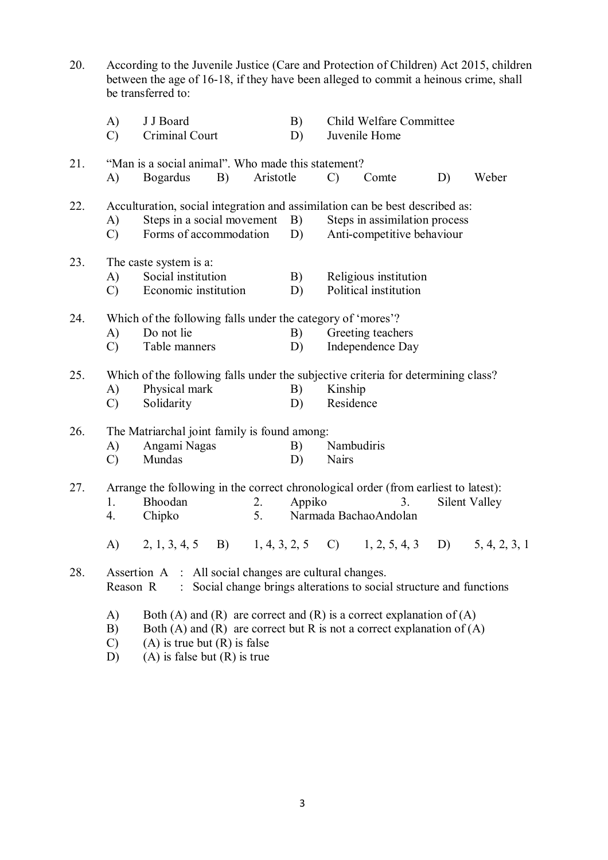| 20. |                           | According to the Juvenile Justice (Care and Protection of Children) Act 2015, children<br>between the age of 16-18, if they have been alleged to commit a heinous crime, shall<br>be transferred to: |           |                                                                                                           |                                                                                                                                             |                                          |       |               |  |
|-----|---------------------------|------------------------------------------------------------------------------------------------------------------------------------------------------------------------------------------------------|-----------|-----------------------------------------------------------------------------------------------------------|---------------------------------------------------------------------------------------------------------------------------------------------|------------------------------------------|-------|---------------|--|
|     | A)<br>$\mathcal{C}$       | J J Board<br>Criminal Court                                                                                                                                                                          |           | B)<br>D)                                                                                                  |                                                                                                                                             | Child Welfare Committee<br>Juvenile Home |       |               |  |
| 21. | A)                        | "Man is a social animal". Who made this statement?<br><b>Bogardus</b><br>B)                                                                                                                          | Aristotle | $\mathcal{C}$                                                                                             | Comte                                                                                                                                       | D)                                       | Weber |               |  |
| 22. | A)<br>$\mathcal{C}$       | Steps in a social movement<br>Forms of accommodation                                                                                                                                                 |           | B)<br>D)                                                                                                  | Acculturation, social integration and assimilation can be best described as:<br>Steps in assimilation process<br>Anti-competitive behaviour |                                          |       |               |  |
| 23. | A)<br>$\mathcal{C}$       | The caste system is a:<br>Social institution<br>Economic institution                                                                                                                                 | B)<br>D)  | Religious institution<br>Political institution                                                            |                                                                                                                                             |                                          |       |               |  |
| 24. | A)<br>$\mathcal{C}$       | Which of the following falls under the category of 'mores'?<br>Do not lie<br>Table manners                                                                                                           | B)<br>D)  | Greeting teachers<br>Independence Day                                                                     |                                                                                                                                             |                                          |       |               |  |
| 25. | A)<br>$\mathcal{C}$       | Physical mark<br>Solidarity                                                                                                                                                                          | B)<br>D)  | Which of the following falls under the subjective criteria for determining class?<br>Kinship<br>Residence |                                                                                                                                             |                                          |       |               |  |
| 26. | A)<br>$\mathcal{C}$       | The Matriarchal joint family is found among:<br>Angami Nagas<br>B)<br>Nambudiris<br>Mundas<br>D)<br>Nairs                                                                                            |           |                                                                                                           |                                                                                                                                             |                                          |       |               |  |
| 27. | 1.                        | Arrange the following in the correct chronological order (from earliest to latest):<br>Bhoodan<br>Chipko                                                                                             | 2.<br>5.  | Appiko                                                                                                    |                                                                                                                                             | 3.<br>Narmada Bachao Andolan             |       | Silent Valley |  |
|     |                           | A) 2, 1, 3, 4, 5 B) 1, 4, 3, 2, 5 C) 1, 2, 5, 4, 3 D) 5, 4, 2, 3, 1                                                                                                                                  |           |                                                                                                           |                                                                                                                                             |                                          |       |               |  |
| 28. | Reason R                  | Assertion A : All social changes are cultural changes.<br>: Social change brings alterations to social structure and functions                                                                       |           |                                                                                                           |                                                                                                                                             |                                          |       |               |  |
|     | A)<br>B)<br>$\mathcal{C}$ | Both (A) and (R) are correct and (R) is a correct explanation of (A)<br>Both (A) and (R) are correct but R is not a correct explanation of (A)<br>$(A)$ is true but $(R)$ is false                   |           |                                                                                                           |                                                                                                                                             |                                          |       |               |  |

D) (A) is false but (R) is true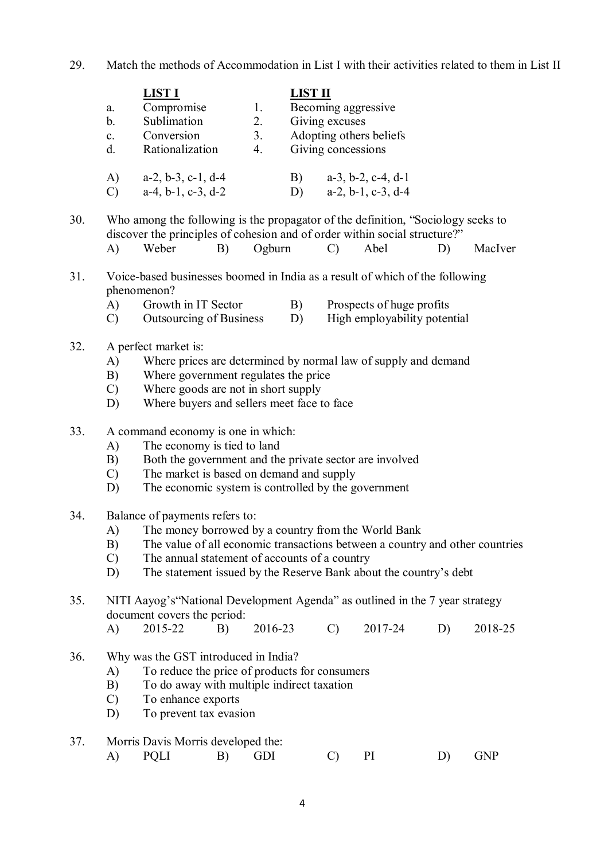29. Match the methods of Accommodation in List I with their activities related to them in List II

|                | <b>LIST I</b>                 |         | <b>LIST II</b>                                     |
|----------------|-------------------------------|---------|----------------------------------------------------|
| a.             | Compromise                    | $1_{-}$ | Becoming aggressive                                |
| b.             | Sublimation                   | 2.      | Giving excuses                                     |
| $\mathbf{c}$ . | Conversion                    | 3.      | Adopting others beliefs                            |
| d.             | Rationalization               | 4.      | Giving concessions                                 |
| A)             | $a-2, b-3, c-1, d-4$          |         | $a-3$ , $b-2$ , $c-4$ , $d-1$<br>$\vert B \rangle$ |
|                | $a-4$ , $b-1$ , $c-3$ , $d-2$ |         | $a-2, b-1, c-3, d-4$                               |

30. Who among the following is the propagator of the definition, "Sociology seeks to discover the principles of cohesion and of order within social structure?" A) Weber B) Ogburn C) Abel D) MacIver

## 31. Voice-based businesses boomed in India as a result of which of the following phenomenon?

- A) Growth in IT Sector B) Prospects of huge profits
- C) Outsourcing of Business D) High employability potential

### 32. A perfect market is:

- A) Where prices are determined by normal law of supply and demand
- B) Where government regulates the price
- C) Where goods are not in short supply
- D) Where buyers and sellers meet face to face
- 33. A command economy is one in which:
	- A) The economy is tied to land
	- B) Both the government and the private sector are involved
	- C) The market is based on demand and supply
	- D) The economic system is controlled by the government
- 34. Balance of payments refers to:
	- A) The money borrowed by a country from the World Bank
	- B) The value of all economic transactions between a country and other countries
	- C) The annual statement of accounts of a country
	- D) The statement issued by the Reserve Bank about the country's debt

# 35. NITI Aayog's"National Development Agenda" as outlined in the 7 year strategy document covers the period:

- A) 2015-22 B) 2016-23 C) 2017-24 D) 2018-25
- 36. Why was the GST introduced in India?
	- A) To reduce the price of products for consumers
	- B) To do away with multiple indirect taxation<br>C) To enhance exports
	- To enhance exports
	- D) To prevent tax evasion
- 37. Morris Davis Morris developed the:
	- A) PQLI B) GDI C) PI D) GNP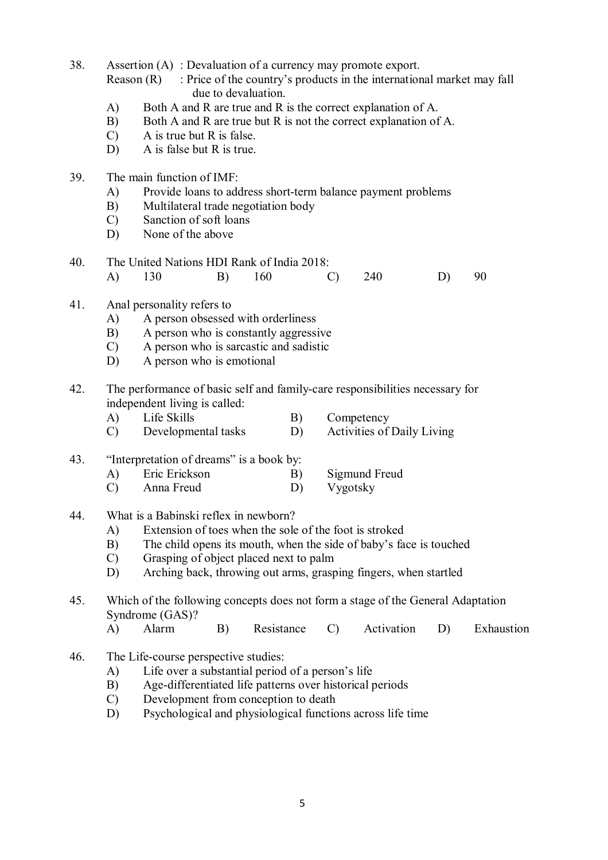38. Assertion (A) : Devaluation of a currency may promote export.

Reason  $(R)$ : Price of the country's products in the international market may fall due to devaluation.

- A) Both A and R are true and R is the correct explanation of A.
- B) Both A and R are true but R is not the correct explanation of A.
- C) A is true but R is false.
- D) A is false but R is true.
- 39. The main function of IMF:
	- A) Provide loans to address short-term balance payment problems
	- B) Multilateral trade negotiation body
	- C) Sanction of soft loans
	- D) None of the above
- 40. The United Nations HDI Rank of India 2018: A) 130 B) 160 C) 240 D) 90
- 41. Anal personality refers to
	- A) A person obsessed with orderliness
	- B) A person who is constantly aggressive
	- C) A person who is sarcastic and sadistic
	- D) A person who is emotional
- 42. The performance of basic self and family-care responsibilities necessary for independent living is called:
	- A) Life Skills B) Competency
	- C) Developmental tasks D) Activities of Daily Living

## 43. "Interpretation of dreams" is a book by:

- A) Eric Erickson B) Sigmund Freud
- C) Anna Freud D) Vygotsky
- 44. What is a Babinski reflex in newborn?
	- A) Extension of toes when the sole of the foot is stroked
	- B) The child opens its mouth, when the side of baby's face is touched
	- C) Grasping of object placed next to palm
	- D) Arching back, throwing out arms, grasping fingers, when startled

# 45. Which of the following concepts does not form a stage of the General Adaptation Syndrome (GAS)?

- A) Alarm B) Resistance C) Activation D) Exhaustion
- 46. The Life-course perspective studies:
	- A) Life over a substantial period of a person's life
	- B) Age-differentiated life patterns over historical periods<br>C) Development from conception to death
	- Development from conception to death
	- D) Psychological and physiological functions across life time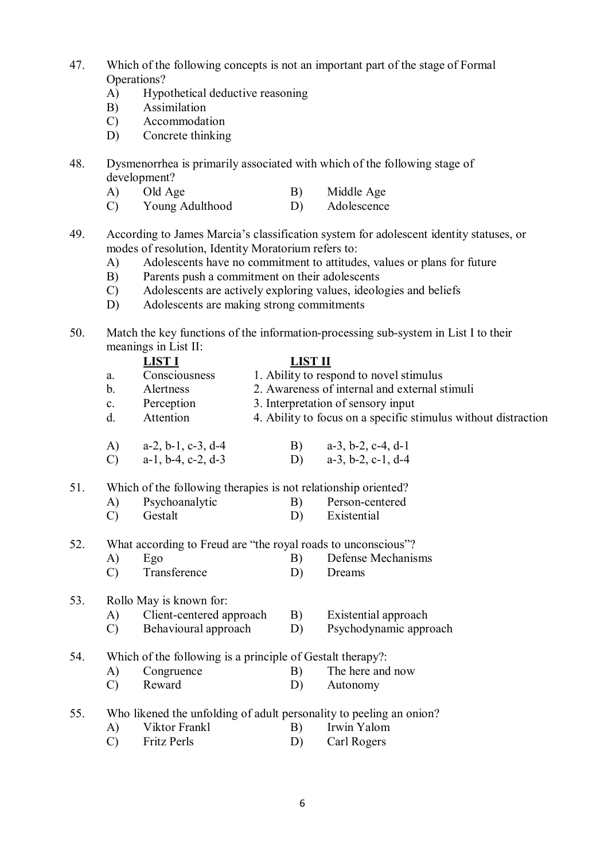- 47. Which of the following concepts is not an important part of the stage of Formal Operations?
	- A) Hypothetical deductive reasoning
	- B) Assimilation
	- C) Accommodation
	- D) Concrete thinking
- 48. Dysmenorrhea is primarily associated with which of the following stage of development?
	- A) Old Age B) Middle Age
	- C) Young Adulthood D) Adolescence
- 49. According to James Marcia's classification system for adolescent identity statuses, or modes of resolution, Identity Moratorium refers to:
	- A) Adolescents have no commitment to attitudes, values or plans for future
	- B) Parents push a commitment on their adolescents
	- C) Adolescents are actively exploring values, ideologies and beliefs
	- D) Adolescents are making strong commitments
- 50. Match the key functions of the information-processing sub-system in List I to their meanings in List II:

|     |                | <b>LIST I</b>                                                  | LIST II |                                                                |  |  |  |  |  |
|-----|----------------|----------------------------------------------------------------|---------|----------------------------------------------------------------|--|--|--|--|--|
|     | a.             | Consciousness                                                  |         | 1. Ability to respond to novel stimulus                        |  |  |  |  |  |
|     | b.             | Alertness                                                      |         | 2. Awareness of internal and external stimuli                  |  |  |  |  |  |
|     | $\mathbf{c}$ . | Perception                                                     |         | 3. Interpretation of sensory input                             |  |  |  |  |  |
|     | $d$ .          | Attention                                                      |         | 4. Ability to focus on a specific stimulus without distraction |  |  |  |  |  |
|     | A)             | $a-2$ , $b-1$ , $c-3$ , $d-4$                                  | B)      | $a-3$ , $b-2$ , $c-4$ , $d-1$                                  |  |  |  |  |  |
|     | $\mathcal{C}$  | $a-1$ , $b-4$ , $c-2$ , $d-3$                                  | D)      | $a-3$ , $b-2$ , $c-1$ , $d-4$                                  |  |  |  |  |  |
| 51. |                | Which of the following therapies is not relationship oriented? |         |                                                                |  |  |  |  |  |
|     | A)             | Psychoanalytic                                                 | B)      | Person-centered                                                |  |  |  |  |  |

- A Preson-central C B Person-central<br>
C Gestalt D Existential
- 52. What according to Freud are "the royal roads to unconscious"?
	- A) Ego B) Defense Mechanisms
	- C) Transference D) Dreams

# 53. Rollo May is known for:

- A) Client-centered approach B) Existential approach
- C) Behavioural approach D) Psychodynamic approach
- 54. Which of the following is a principle of Gestalt therapy?:
	- A) Congruence B) The here and now
		- C) Reward D) Autonomy
- 55. Who likened the unfolding of adult personality to peeling an onion?
	- A) Viktor Frankl B) Irwin Yalom
	- C) Fritz Perls D) Carl Rogers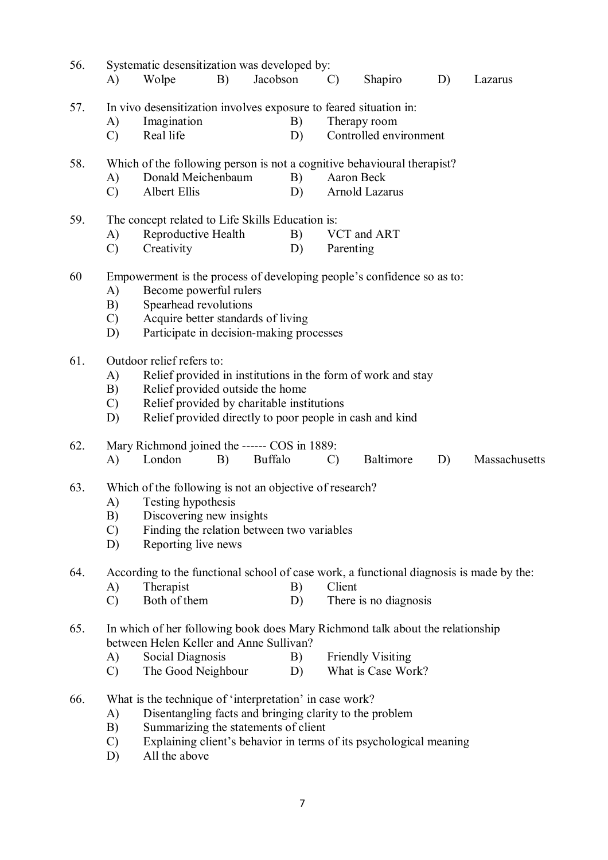| 56. |                                                                         | Systematic desensitization was developed by:                                            |  |                |               |                          |    |               |  |  |  |
|-----|-------------------------------------------------------------------------|-----------------------------------------------------------------------------------------|--|----------------|---------------|--------------------------|----|---------------|--|--|--|
|     | A)                                                                      | B)<br>Wolpe                                                                             |  | Jacobson       | $\mathcal{C}$ | Shapiro                  | D) | Lazarus       |  |  |  |
| 57. |                                                                         | In vivo desensitization involves exposure to feared situation in:                       |  |                |               |                          |    |               |  |  |  |
|     | A)                                                                      | Imagination                                                                             |  | B)             |               | Therapy room             |    |               |  |  |  |
|     | $\mathcal{C}$                                                           | Real life                                                                               |  | D)             |               | Controlled environment   |    |               |  |  |  |
| 58. | Which of the following person is not a cognitive behavioural therapist? |                                                                                         |  |                |               |                          |    |               |  |  |  |
|     | A)                                                                      | Donald Meichenbaum                                                                      |  | B)             |               | Aaron Beck               |    |               |  |  |  |
|     | $\mathcal{C}$                                                           | Albert Ellis                                                                            |  | D)             |               | Arnold Lazarus           |    |               |  |  |  |
| 59. |                                                                         | The concept related to Life Skills Education is:                                        |  |                |               |                          |    |               |  |  |  |
|     | A)                                                                      | Reproductive Health                                                                     |  | B)             |               | VCT and ART              |    |               |  |  |  |
|     | $\mathcal{C}$                                                           | Creativity                                                                              |  | D)             | Parenting     |                          |    |               |  |  |  |
| 60  |                                                                         | Empowerment is the process of developing people's confidence so as to:                  |  |                |               |                          |    |               |  |  |  |
|     | A)                                                                      | Become powerful rulers                                                                  |  |                |               |                          |    |               |  |  |  |
|     | B)                                                                      | Spearhead revolutions                                                                   |  |                |               |                          |    |               |  |  |  |
|     | $\mathcal{C}$                                                           | Acquire better standards of living                                                      |  |                |               |                          |    |               |  |  |  |
|     |                                                                         | Participate in decision-making processes<br>D)                                          |  |                |               |                          |    |               |  |  |  |
| 61. |                                                                         | Outdoor relief refers to:                                                               |  |                |               |                          |    |               |  |  |  |
|     | A)                                                                      | Relief provided in institutions in the form of work and stay                            |  |                |               |                          |    |               |  |  |  |
|     | B)                                                                      | Relief provided outside the home                                                        |  |                |               |                          |    |               |  |  |  |
|     | $\mathcal{C}$                                                           | Relief provided by charitable institutions                                              |  |                |               |                          |    |               |  |  |  |
|     | D)                                                                      | Relief provided directly to poor people in cash and kind                                |  |                |               |                          |    |               |  |  |  |
| 62. |                                                                         | Mary Richmond joined the ------ COS in 1889:                                            |  |                |               |                          |    |               |  |  |  |
|     | A)                                                                      | London<br>B)                                                                            |  | <b>Buffalo</b> | $\mathcal{C}$ | Baltimore                | D) | Massachusetts |  |  |  |
| 63. | Which of the following is not an objective of research?                 |                                                                                         |  |                |               |                          |    |               |  |  |  |
|     | A)                                                                      | Testing hypothesis                                                                      |  |                |               |                          |    |               |  |  |  |
|     | B)                                                                      | Discovering new insights                                                                |  |                |               |                          |    |               |  |  |  |
|     | $\mathcal{C}$                                                           | Finding the relation between two variables                                              |  |                |               |                          |    |               |  |  |  |
|     | D)                                                                      | Reporting live news                                                                     |  |                |               |                          |    |               |  |  |  |
| 64. |                                                                         | According to the functional school of case work, a functional diagnosis is made by the: |  |                |               |                          |    |               |  |  |  |
|     | A)                                                                      | Therapist                                                                               |  | B)             | Client        |                          |    |               |  |  |  |
|     | $\mathcal{C}$                                                           | Both of them                                                                            |  | D)             |               | There is no diagnosis    |    |               |  |  |  |
| 65. |                                                                         | In which of her following book does Mary Richmond talk about the relationship           |  |                |               |                          |    |               |  |  |  |
|     |                                                                         | between Helen Keller and Anne Sullivan?                                                 |  |                |               |                          |    |               |  |  |  |
|     | A)                                                                      | Social Diagnosis                                                                        |  | B)             |               | <b>Friendly Visiting</b> |    |               |  |  |  |
|     | $\mathcal{C}$                                                           | The Good Neighbour                                                                      |  | D)             |               | What is Case Work?       |    |               |  |  |  |
| 66. |                                                                         | What is the technique of 'interpretation' in case work?                                 |  |                |               |                          |    |               |  |  |  |
|     | A)                                                                      | Disentangling facts and bringing clarity to the problem                                 |  |                |               |                          |    |               |  |  |  |
|     | B)                                                                      | Summarizing the statements of client                                                    |  |                |               |                          |    |               |  |  |  |
|     | $\mathcal{C}$                                                           | Explaining client's behavior in terms of its psychological meaning                      |  |                |               |                          |    |               |  |  |  |

D) All the above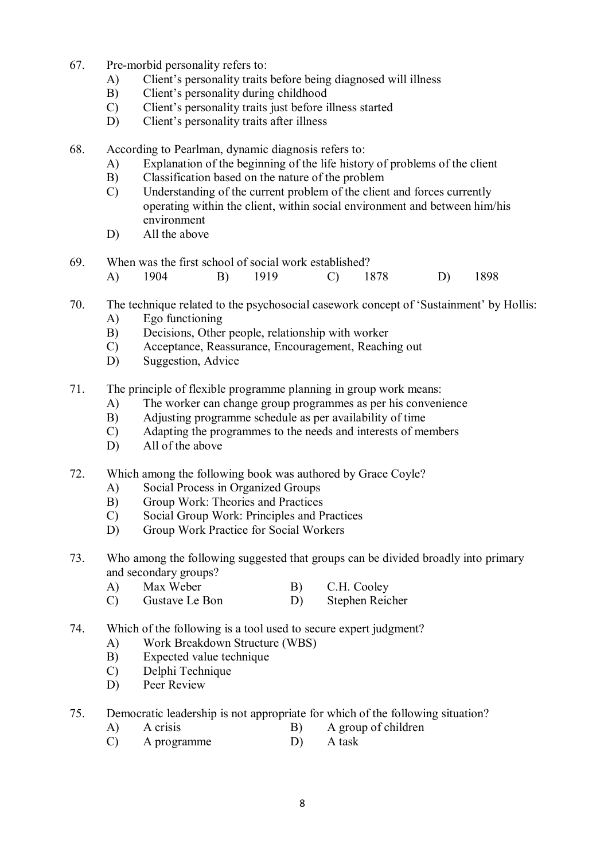- 67. Pre-morbid personality refers to:
	- A) Client's personality traits before being diagnosed will illness
	- B) Client's personality during childhood
	- C) Client's personality traits just before illness started
	- D) Client's personality traits after illness
- 68. According to Pearlman, dynamic diagnosis refers to:
	- A) Explanation of the beginning of the life history of problems of the client
	- B) Classification based on the nature of the problem
	- C) Understanding of the current problem of the client and forces currently operating within the client, within social environment and between him/his environment
	- D) All the above
- 69. When was the first school of social work established? A) 1904 B) 1919 C) 1878 D) 1898
- 70. The technique related to the psychosocial casework concept of 'Sustainment' by Hollis:
	- A) Ego functioning
	- B) Decisions, Other people, relationship with worker
	- C) Acceptance, Reassurance, Encouragement, Reaching out
	- D) Suggestion, Advice
- 71. The principle of flexible programme planning in group work means:
	- A) The worker can change group programmes as per his convenience
	- B) Adjusting programme schedule as per availability of time
	- C) Adapting the programmes to the needs and interests of members
	- D) All of the above
- 72. Which among the following book was authored by Grace Coyle?
	- A) Social Process in Organized Groups
	- B) Group Work: Theories and Practices
	- C) Social Group Work: Principles and Practices
	- D) Group Work Practice for Social Workers
- 73. Who among the following suggested that groups can be divided broadly into primary and secondary groups?
	-
	- A) Max Weber Bon B) C.H. Cooley<br>
	C) Gustave Le Bon D) Stephen Reic Stephen Reicher
- 74. Which of the following is a tool used to secure expert judgment?
	- A) Work Breakdown Structure (WBS)
	- B) Expected value technique
	- C) Delphi Technique
	- D) Peer Review
- 75. Democratic leadership is not appropriate for which of the following situation?
	- A) A crisis B) A group of children
		- C) A programme D) A task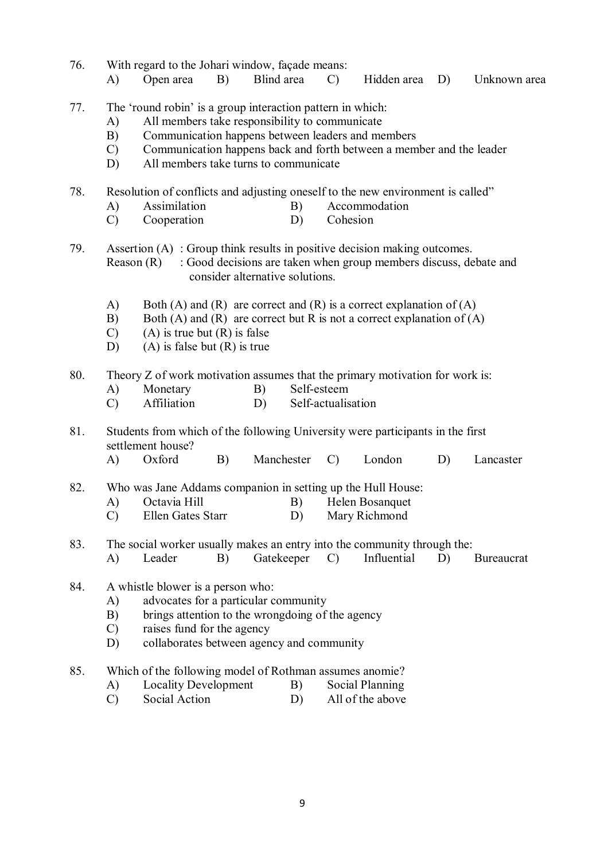76. With regard to the Johari window, façade means: A) Open area B) Blind area C) Hidden area D) Unknown area 77. The 'round robin' is a group interaction pattern in which: A) All members take responsibility to communicate B) Communication happens between leaders and members<br>C) Communication happens back and forth between a mem C) Communication happens back and forth between a member and the leader D) All members take turns to communicate 78. Resolution of conflicts and adjusting oneself to the new environment is called" A) Assimilation B) Accommodation C) Cooperation D) Cohesion 79. Assertion (A) : Group think results in positive decision making outcomes. Reason (R) : Good decisions are taken when group members discuss, debate and consider alternative solutions. A) Both (A) and (R) are correct and (R) is a correct explanation of (A) B) Both (A) and (R) are correct but R is not a correct explanation of (A)  $(C)$  (A) is true but  $(R)$  is false D) (A) is false but  $(R)$  is true 80. Theory Z of work motivation assumes that the primary motivation for work is: A) Monetary B) Self-esteem C) Affiliation D) Self-actualisation 81. Students from which of the following University were participants in the first settlement house? A) Oxford B) Manchester C) London D) Lancaster 82. Who was Jane Addams companion in setting up the Hull House: A) Octavia Hill B) Helen Bosanquet C) Ellen Gates Starr D) Mary Richmond 83. The social worker usually makes an entry into the community through the: A) Leader B) Gatekeeper C) Influential D) Bureaucrat 84. A whistle blower is a person who: A) advocates for a particular community B) brings attention to the wrongdoing of the agency C) raises fund for the agency D) collaborates between agency and community 85. Which of the following model of Rothman assumes anomie? A) Locality Development B) Social Planning<br>
C) Social Action D) All of the above C) Social Action D) All of the above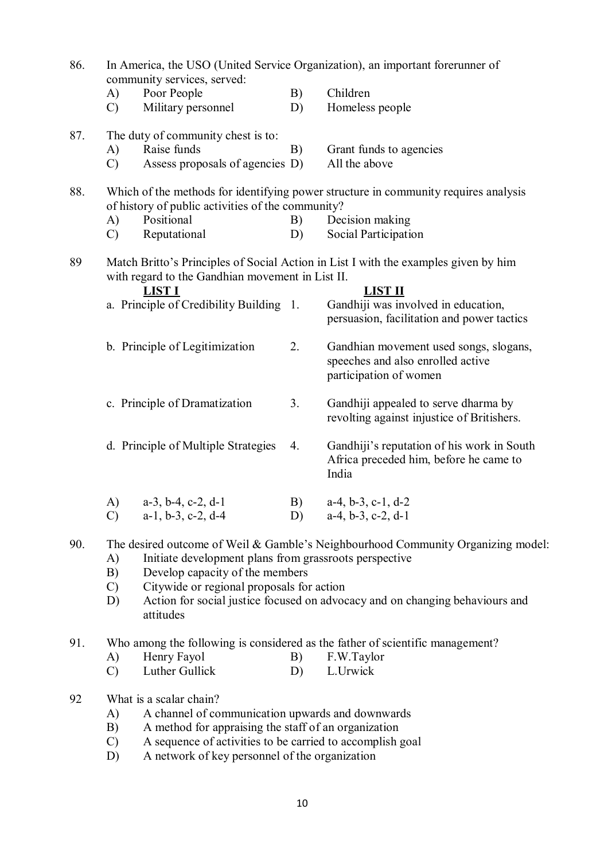| 86. |                                 | community services, served:                                                                                                                                                                                                                        |          | In America, the USO (United Service Organization), an important forerunner of                                                                                                              |
|-----|---------------------------------|----------------------------------------------------------------------------------------------------------------------------------------------------------------------------------------------------------------------------------------------------|----------|--------------------------------------------------------------------------------------------------------------------------------------------------------------------------------------------|
|     | A)<br>$\mathcal{C}$             | Poor People<br>Military personnel                                                                                                                                                                                                                  | B)<br>D) | Children<br>Homeless people                                                                                                                                                                |
| 87. | A)<br>$\mathcal{C}$             | The duty of community chest is to:<br>Raise funds<br>Assess proposals of agencies D)                                                                                                                                                               | B)       | Grant funds to agencies<br>All the above                                                                                                                                                   |
| 88. | A)<br>$\mathcal{C}$             | of history of public activities of the community?<br>Positional<br>Reputational                                                                                                                                                                    | B)<br>D) | Which of the methods for identifying power structure in community requires analysis<br>Decision making<br>Social Participation                                                             |
| 89  |                                 | with regard to the Gandhian movement in List II.<br><b>LIST I</b><br>a. Principle of Credibility Building 1.                                                                                                                                       |          | Match Britto's Principles of Social Action in List I with the examples given by him<br><b>LIST II</b><br>Gandhiji was involved in education,<br>persuasion, facilitation and power tactics |
|     |                                 | b. Principle of Legitimization                                                                                                                                                                                                                     | 2.       | Gandhian movement used songs, slogans,<br>speeches and also enrolled active<br>participation of women                                                                                      |
|     |                                 | c. Principle of Dramatization                                                                                                                                                                                                                      | 3.       | Gandhiji appealed to serve dharma by<br>revolting against injustice of Britishers.                                                                                                         |
|     |                                 | d. Principle of Multiple Strategies                                                                                                                                                                                                                | 4.       | Gandhiji's reputation of his work in South<br>Africa preceded him, before he came to<br>India                                                                                              |
|     | A)<br>$\mathcal{C}$             | $a-3$ , $b-4$ , $c-2$ , $d-1$<br>$a-1$ , $b-3$ , $c-2$ , $d-4$                                                                                                                                                                                     | B)<br>D) | $a-4$ , $b-3$ , $c-1$ , $d-2$<br>$a-4$ , $b-3$ , $c-2$ , $d-1$                                                                                                                             |
| 90. | A)<br>B)<br>$\mathcal{C}$<br>D) | Initiate development plans from grassroots perspective<br>Develop capacity of the members<br>Citywide or regional proposals for action<br>attitudes                                                                                                |          | The desired outcome of Weil & Gamble's Neighbourhood Community Organizing model:<br>Action for social justice focused on advocacy and on changing behaviours and                           |
| 91. | A)<br>$\mathcal{C}$             | Henry Fayol<br>Luther Gullick                                                                                                                                                                                                                      | B)<br>D) | Who among the following is considered as the father of scientific management?<br>F.W.Taylor<br>L.Urwick                                                                                    |
| 92  | A)<br>B)<br>$\mathcal{C}$<br>D) | What is a scalar chain?<br>A channel of communication upwards and downwards<br>A method for appraising the staff of an organization<br>A sequence of activities to be carried to accomplish goal<br>A network of key personnel of the organization |          |                                                                                                                                                                                            |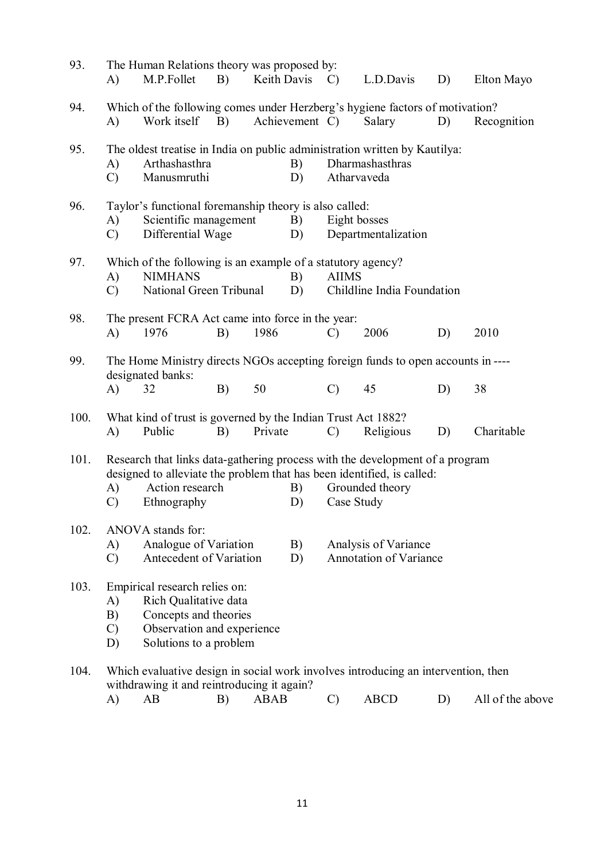| 93.  | A)                                                                                                                                                                                                                                                           | The Human Relations theory was proposed by:<br>M.P.Follet                                                                               | B) |             | Keith Davis C) |               | L.D.Davis                                             | D) | Elton Mayo       |
|------|--------------------------------------------------------------------------------------------------------------------------------------------------------------------------------------------------------------------------------------------------------------|-----------------------------------------------------------------------------------------------------------------------------------------|----|-------------|----------------|---------------|-------------------------------------------------------|----|------------------|
| 94.  | Which of the following comes under Herzberg's hygiene factors of motivation?<br>Work itself<br><b>B</b> )<br>Achievement C)<br>A)                                                                                                                            |                                                                                                                                         |    |             |                |               | Salary                                                | D) | Recognition      |
| 95.  | The oldest treatise in India on public administration written by Kautilya:<br>B)<br>Arthashasthra<br>A)<br>$\mathcal{C}$<br>Manusmruthi<br>D)                                                                                                                |                                                                                                                                         |    |             |                |               | Dharmashasthras<br>Atharvaveda                        |    |                  |
| 96.  | Taylor's functional foremanship theory is also called:<br>Scientific management<br>A)<br>Differential Wage<br>$\mathcal{C}$                                                                                                                                  |                                                                                                                                         |    |             | B)<br>D)       |               | Eight bosses<br>Departmentalization                   |    |                  |
| 97.  | Which of the following is an example of a statutory agency?<br><b>NIMHANS</b><br>A)<br>B)<br>National Green Tribunal<br>D)<br>$\mathcal{C}$                                                                                                                  |                                                                                                                                         |    |             |                | <b>AIIMS</b>  | Childline India Foundation                            |    |                  |
| 98.  | A)                                                                                                                                                                                                                                                           | The present FCRA Act came into force in the year:<br>1976                                                                               | B) | 1986        |                | $\mathcal{C}$ | 2006                                                  | D) | 2010             |
| 99.  | A)                                                                                                                                                                                                                                                           | The Home Ministry directs NGOs accepting foreign funds to open accounts in ----<br>designated banks:<br>32                              | B) | 50          |                | $\mathcal{C}$ | 45                                                    | D) | 38               |
| 100. | A)                                                                                                                                                                                                                                                           | What kind of trust is governed by the Indian Trust Act 1882?<br>Public                                                                  | B) | Private     |                | $\mathcal{C}$ | Religious                                             | D) | Charitable       |
| 101. | Research that links data-gathering process with the development of a program<br>designed to alleviate the problem that has been identified, is called:<br>Action research<br>Grounded theory<br>A)<br>B)<br>Case Study<br>$\mathcal{C}$<br>Ethnography<br>D) |                                                                                                                                         |    |             |                |               |                                                       |    |                  |
| 102. | ANOVA stands for:<br>Analogue of Variation<br>A)<br>Antecedent of Variation<br>$\mathcal{C}$                                                                                                                                                                 |                                                                                                                                         |    |             | B)<br>D)       |               | Analysis of Variance<br><b>Annotation of Variance</b> |    |                  |
| 103. | A)<br>B)<br>$\mathcal{C}$<br>D)                                                                                                                                                                                                                              | Empirical research relies on:<br>Rich Qualitative data<br>Concepts and theories<br>Observation and experience<br>Solutions to a problem |    |             |                |               |                                                       |    |                  |
| 104. | A)                                                                                                                                                                                                                                                           | Which evaluative design in social work involves introducing an intervention, then<br>withdrawing it and reintroducing it again?<br>AB   | B) | <b>ABAB</b> |                | $\mathcal{C}$ | <b>ABCD</b>                                           | D) | All of the above |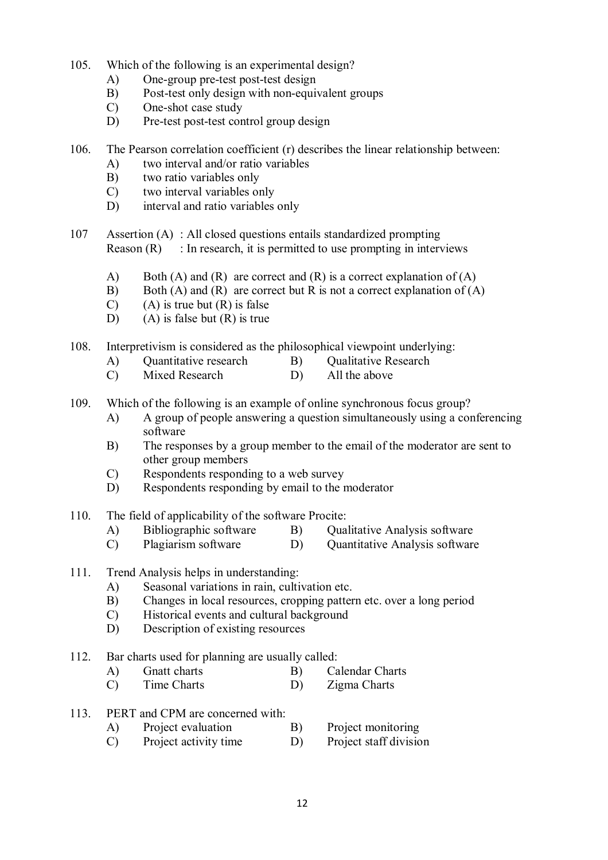- 105. Which of the following is an experimental design?
	- A) One-group pre-test post-test design
	- B) Post-test only design with non-equivalent groups
	- C) One-shot case study
	- D) Pre-test post-test control group design
- 106. The Pearson correlation coefficient (r) describes the linear relationship between:
	- A) two interval and/or ratio variables
	- B) two ratio variables only
	- C) two interval variables only
	- D) interval and ratio variables only
- 107 Assertion (A) : All closed questions entails standardized prompting Reason  $(R)$ : In research, it is permitted to use prompting in interviews
	- A) Both (A) and (R) are correct and (R) is a correct explanation of (A)
	- B) Both (A) and (R) are correct but R is not a correct explanation of (A)
	- $(C)$  (A) is true but  $(R)$  is false
	- D) (A) is false but  $(R)$  is true
- 108. Interpretivism is considered as the philosophical viewpoint underlying:
	- A) Quantitative research B) Qualitative Research C) Mixed Research D) All the above
	- $(C)$  Mixed Research  $(D)$
- 109. Which of the following is an example of online synchronous focus group?
	- A) A group of people answering a question simultaneously using a conferencing software
	- B) The responses by a group member to the email of the moderator are sent to other group members
	- C) Respondents responding to a web survey
	- D) Respondents responding by email to the moderator
- 110. The field of applicability of the software Procite:
	- A) Bibliographic software B) Qualitative Analysis software
	- C) Plagiarism software D) Quantitative Analysis software
- 111. Trend Analysis helps in understanding:
	- A) Seasonal variations in rain, cultivation etc.<br>B) Changes in local resources, cropping patter
	- B) Changes in local resources, cropping pattern etc. over a long period
	- C) Historical events and cultural background
	- D) Description of existing resources
- 112. Bar charts used for planning are usually called:
	- A) Gnatt charts B) Calendar Charts
	- C) Time Charts D) Zigma Charts
- 113. PERT and CPM are concerned with:
	- A) Project evaluation B) Project monitoring
	- C) Project activity time D) Project staff division